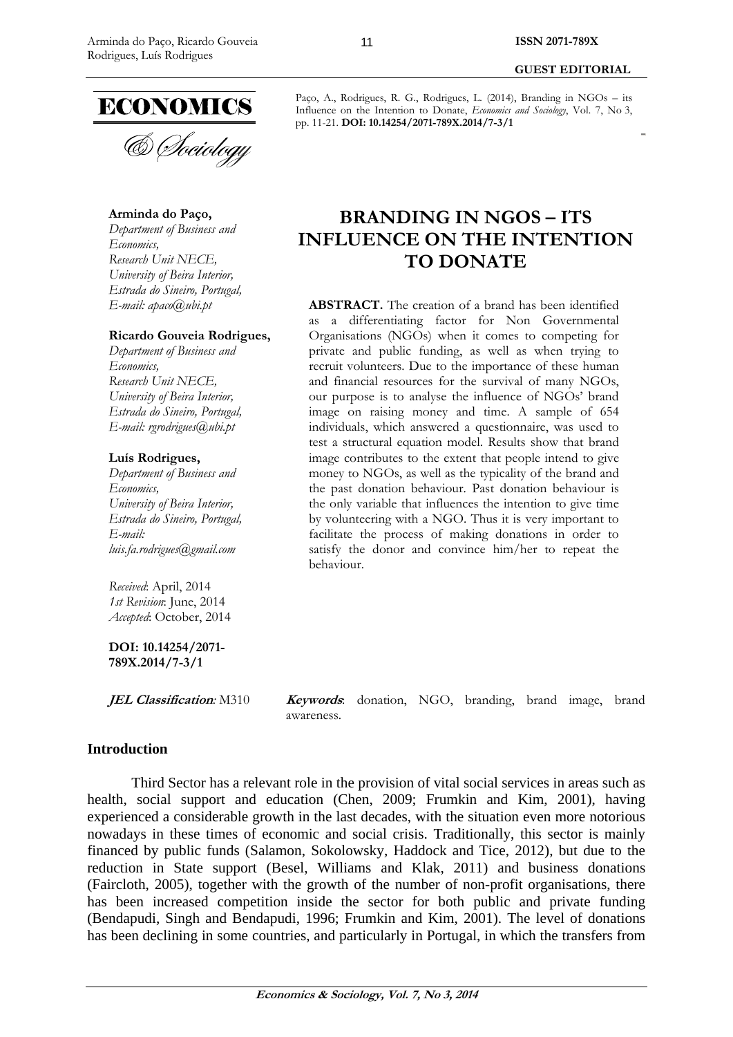**GUEST EDITORIAL** 

& Sociology

## **Arminda do Paço,**

*Department of Business and Economics, Research Unit NECE, University of Beira Interior, Estrada do Sineiro, Portugal, E-mail: apaco@ubi.pt* 

### **Ricardo Gouveia Rodrigues,**

*Department of Business and Economics, Research Unit NECE, University of Beira Interior, Estrada do Sineiro, Portugal, E-mail: rgrodrigues@ubi.pt* 

#### **Luís Rodrigues,**

*Department of Business and Economics, University of Beira Interior, Estrada do Sineiro, Portugal, E-mail: luis.fa.rodrigues@gmail.com* 

*Received*: April, 2014 *1st Revision*: June, 2014 *Accepted*: October, 2014

**DOI: 10.14254/2071- 789X.2014/7-3/1**

**JEL Classification***:* M310 **Keywords**: donation, NGO, branding, brand image, brand awareness.

## **Introduction**

Third Sector has a relevant role in the provision of vital social services in areas such as health, social support and education (Chen, 2009; Frumkin and Kim, 2001), having experienced a considerable growth in the last decades, with the situation even more notorious nowadays in these times of economic and social crisis. Traditionally, this sector is mainly financed by public funds (Salamon, Sokolowsky, Haddock and Tice, 2012), but due to the reduction in State support (Besel, Williams and Klak, 2011) and business donations (Faircloth, 2005), together with the growth of the number of non-profit organisations, there has been increased competition inside the sector for both public and private funding (Bendapudi, Singh and Bendapudi, 1996; Frumkin and Kim, 2001). The level of donations has been declining in some countries, and particularly in Portugal, in which the transfers from

# **BRANDING IN NGOS – ITS INFLUENCE ON THE INTENTION TO DONATE**

**ABSTRACT.** The creation of a brand has been identified as a differentiating factor for Non Governmental Organisations (NGOs) when it comes to competing for private and public funding, as well as when trying to recruit volunteers. Due to the importance of these human and financial resources for the survival of many NGOs, our purpose is to analyse the influence of NGOs' brand image on raising money and time. A sample of 654 individuals, which answered a questionnaire, was used to test a structural equation model. Results show that brand image contributes to the extent that people intend to give money to NGOs, as well as the typicality of the brand and the past donation behaviour. Past donation behaviour is the only variable that influences the intention to give time by volunteering with a NGO. Thus it is very important to facilitate the process of making donations in order to satisfy the donor and convince him/her to repeat the behaviour.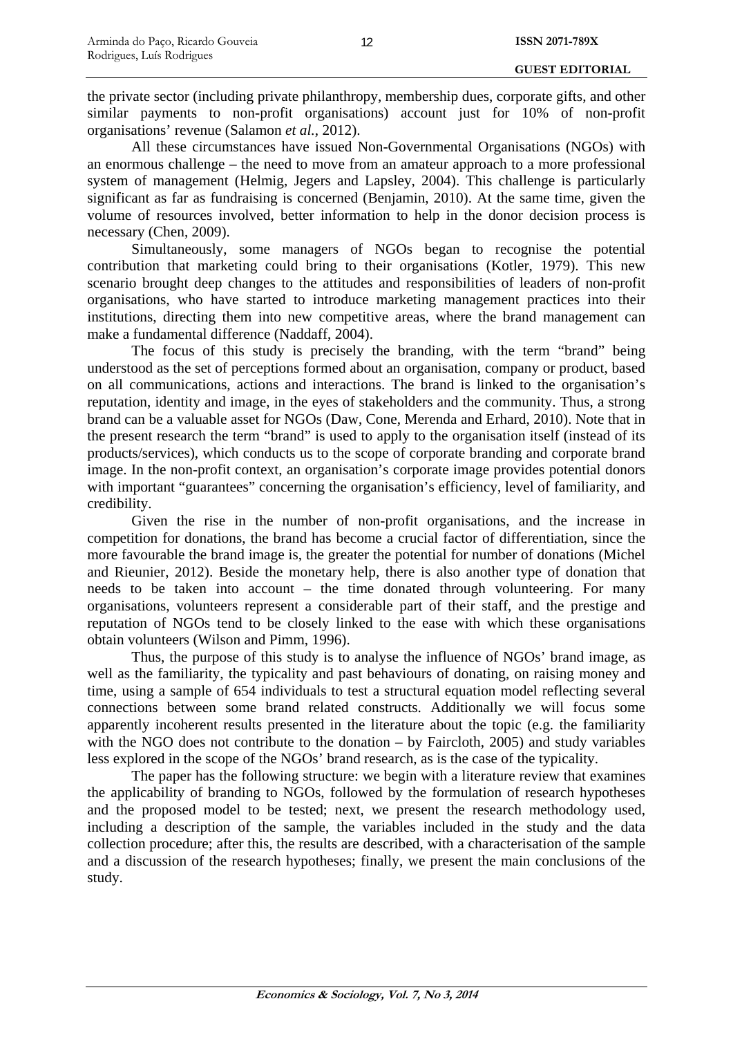the private sector (including private philanthropy, membership dues, corporate gifts, and other similar payments to non-profit organisations) account just for 10% of non-profit organisations' revenue (Salamon *et al.*, 2012).

All these circumstances have issued Non-Governmental Organisations (NGOs) with an enormous challenge – the need to move from an amateur approach to a more professional system of management (Helmig, Jegers and Lapsley, 2004). This challenge is particularly significant as far as fundraising is concerned (Benjamin, 2010). At the same time, given the volume of resources involved, better information to help in the donor decision process is necessary (Chen, 2009).

Simultaneously, some managers of NGOs began to recognise the potential contribution that marketing could bring to their organisations (Kotler, 1979). This new scenario brought deep changes to the attitudes and responsibilities of leaders of non-profit organisations, who have started to introduce marketing management practices into their institutions, directing them into new competitive areas, where the brand management can make a fundamental difference (Naddaff, 2004).

The focus of this study is precisely the branding, with the term "brand" being understood as the set of perceptions formed about an organisation, company or product, based on all communications, actions and interactions. The brand is linked to the organisation's reputation, identity and image, in the eyes of stakeholders and the community. Thus, a strong brand can be a valuable asset for NGOs (Daw, Cone, Merenda and Erhard, 2010). Note that in the present research the term "brand" is used to apply to the organisation itself (instead of its products/services), which conducts us to the scope of corporate branding and corporate brand image. In the non-profit context, an organisation's corporate image provides potential donors with important "guarantees" concerning the organisation's efficiency, level of familiarity, and credibility.

Given the rise in the number of non-profit organisations, and the increase in competition for donations, the brand has become a crucial factor of differentiation, since the more favourable the brand image is, the greater the potential for number of donations (Michel and Rieunier, 2012). Beside the monetary help, there is also another type of donation that needs to be taken into account – the time donated through volunteering. For many organisations, volunteers represent a considerable part of their staff, and the prestige and reputation of NGOs tend to be closely linked to the ease with which these organisations obtain volunteers (Wilson and Pimm, 1996).

Thus, the purpose of this study is to analyse the influence of NGOs' brand image, as well as the familiarity, the typicality and past behaviours of donating, on raising money and time, using a sample of 654 individuals to test a structural equation model reflecting several connections between some brand related constructs. Additionally we will focus some apparently incoherent results presented in the literature about the topic (e.g. the familiarity with the NGO does not contribute to the donation – by Faircloth, 2005) and study variables less explored in the scope of the NGOs' brand research, as is the case of the typicality.

The paper has the following structure: we begin with a literature review that examines the applicability of branding to NGOs, followed by the formulation of research hypotheses and the proposed model to be tested; next, we present the research methodology used, including a description of the sample, the variables included in the study and the data collection procedure; after this, the results are described, with a characterisation of the sample and a discussion of the research hypotheses; finally, we present the main conclusions of the study.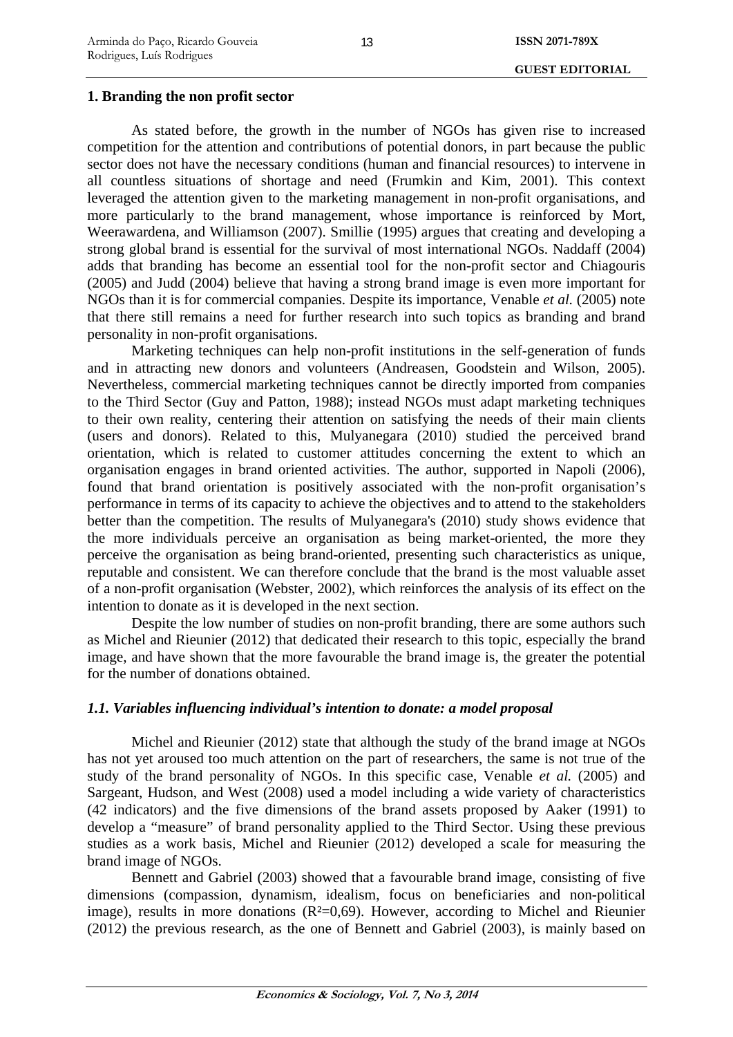## **1. Branding the non profit sector**

As stated before, the growth in the number of NGOs has given rise to increased competition for the attention and contributions of potential donors, in part because the public sector does not have the necessary conditions (human and financial resources) to intervene in all countless situations of shortage and need (Frumkin and Kim, 2001). This context leveraged the attention given to the marketing management in non-profit organisations, and more particularly to the brand management, whose importance is reinforced by Mort, Weerawardena, and Williamson (2007). Smillie (1995) argues that creating and developing a strong global brand is essential for the survival of most international NGOs. Naddaff (2004) adds that branding has become an essential tool for the non-profit sector and Chiagouris (2005) and Judd (2004) believe that having a strong brand image is even more important for NGOs than it is for commercial companies. Despite its importance, Venable *et al.* (2005) note that there still remains a need for further research into such topics as branding and brand personality in non-profit organisations.

Marketing techniques can help non-profit institutions in the self-generation of funds and in attracting new donors and volunteers (Andreasen, Goodstein and Wilson, 2005). Nevertheless, commercial marketing techniques cannot be directly imported from companies to the Third Sector (Guy and Patton, 1988); instead NGOs must adapt marketing techniques to their own reality, centering their attention on satisfying the needs of their main clients (users and donors). Related to this, Mulyanegara (2010) studied the perceived brand orientation, which is related to customer attitudes concerning the extent to which an organisation engages in brand oriented activities. The author, supported in Napoli (2006), found that brand orientation is positively associated with the non-profit organisation's performance in terms of its capacity to achieve the objectives and to attend to the stakeholders better than the competition. The results of Mulyanegara's (2010) study shows evidence that the more individuals perceive an organisation as being market-oriented, the more they perceive the organisation as being brand-oriented, presenting such characteristics as unique, reputable and consistent. We can therefore conclude that the brand is the most valuable asset of a non-profit organisation (Webster, 2002), which reinforces the analysis of its effect on the intention to donate as it is developed in the next section.

Despite the low number of studies on non-profit branding, there are some authors such as Michel and Rieunier (2012) that dedicated their research to this topic, especially the brand image, and have shown that the more favourable the brand image is, the greater the potential for the number of donations obtained.

## *1.1. Variables influencing individual's intention to donate: a model proposal*

Michel and Rieunier (2012) state that although the study of the brand image at NGOs has not yet aroused too much attention on the part of researchers, the same is not true of the study of the brand personality of NGOs. In this specific case, Venable *et al.* (2005) and Sargeant, Hudson, and West (2008) used a model including a wide variety of characteristics (42 indicators) and the five dimensions of the brand assets proposed by Aaker (1991) to develop a "measure" of brand personality applied to the Third Sector. Using these previous studies as a work basis, Michel and Rieunier (2012) developed a scale for measuring the brand image of NGOs.

Bennett and Gabriel (2003) showed that a favourable brand image, consisting of five dimensions (compassion, dynamism, idealism, focus on beneficiaries and non-political image), results in more donations  $(R<sup>2</sup>=0.69)$ . However, according to Michel and Rieunier (2012) the previous research, as the one of Bennett and Gabriel (2003), is mainly based on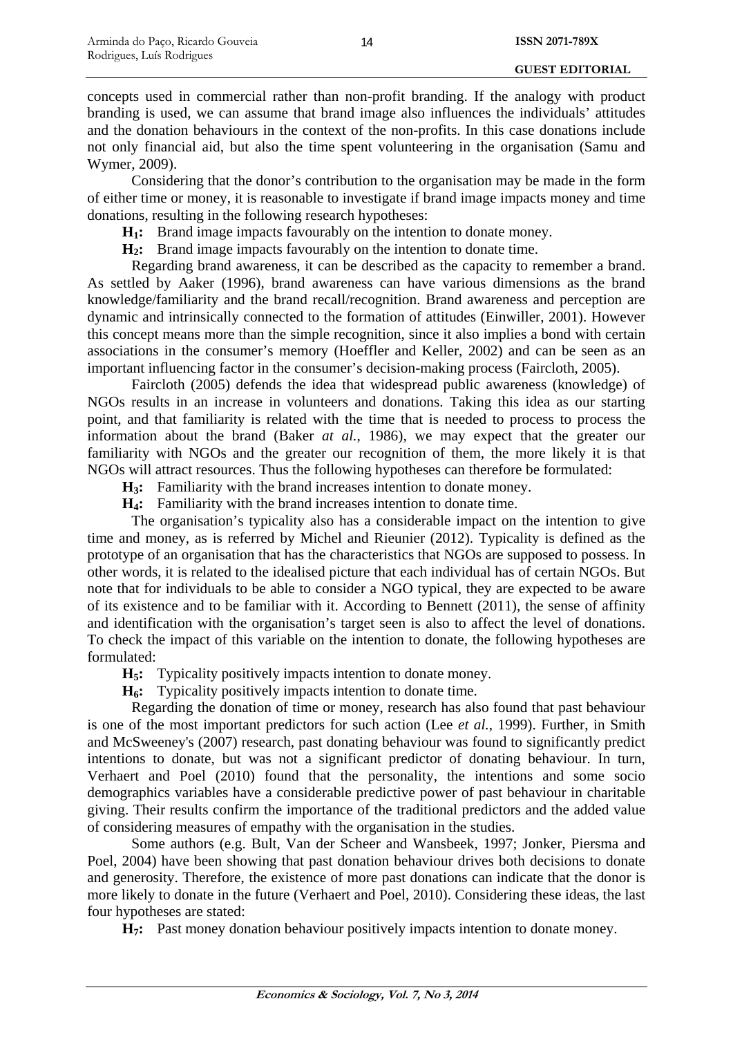concepts used in commercial rather than non-profit branding. If the analogy with product branding is used, we can assume that brand image also influences the individuals' attitudes and the donation behaviours in the context of the non-profits. In this case donations include not only financial aid, but also the time spent volunteering in the organisation (Samu and Wymer, 2009).

Considering that the donor's contribution to the organisation may be made in the form of either time or money, it is reasonable to investigate if brand image impacts money and time donations, resulting in the following research hypotheses:

**H<sub>1</sub>:** Brand image impacts favourably on the intention to donate money.

**H2:** Brand image impacts favourably on the intention to donate time.

Regarding brand awareness, it can be described as the capacity to remember a brand. As settled by Aaker (1996), brand awareness can have various dimensions as the brand knowledge/familiarity and the brand recall/recognition. Brand awareness and perception are dynamic and intrinsically connected to the formation of attitudes (Einwiller, 2001). However this concept means more than the simple recognition, since it also implies a bond with certain associations in the consumer's memory (Hoeffler and Keller, 2002) and can be seen as an important influencing factor in the consumer's decision-making process (Faircloth, 2005).

Faircloth (2005) defends the idea that widespread public awareness (knowledge) of NGOs results in an increase in volunteers and donations. Taking this idea as our starting point, and that familiarity is related with the time that is needed to process to process the information about the brand (Baker *at al.*, 1986), we may expect that the greater our familiarity with NGOs and the greater our recognition of them, the more likely it is that NGOs will attract resources. Thus the following hypotheses can therefore be formulated:

**H3:** Familiarity with the brand increases intention to donate money.

**H4:** Familiarity with the brand increases intention to donate time.

The organisation's typicality also has a considerable impact on the intention to give time and money, as is referred by Michel and Rieunier (2012). Typicality is defined as the prototype of an organisation that has the characteristics that NGOs are supposed to possess. In other words, it is related to the idealised picture that each individual has of certain NGOs. But note that for individuals to be able to consider a NGO typical, they are expected to be aware of its existence and to be familiar with it. According to Bennett (2011), the sense of affinity and identification with the organisation's target seen is also to affect the level of donations. To check the impact of this variable on the intention to donate, the following hypotheses are formulated:

**H5:** Typicality positively impacts intention to donate money.

**H6:** Typicality positively impacts intention to donate time.

Regarding the donation of time or money, research has also found that past behaviour is one of the most important predictors for such action (Lee *et al.*, 1999). Further, in Smith and McSweeney's (2007) research, past donating behaviour was found to significantly predict intentions to donate, but was not a significant predictor of donating behaviour. In turn, Verhaert and Poel (2010) found that the personality, the intentions and some socio demographics variables have a considerable predictive power of past behaviour in charitable giving. Their results confirm the importance of the traditional predictors and the added value of considering measures of empathy with the organisation in the studies.

Some authors (e.g. Bult, Van der Scheer and Wansbeek, 1997; Jonker, Piersma and Poel, 2004) have been showing that past donation behaviour drives both decisions to donate and generosity. Therefore, the existence of more past donations can indicate that the donor is more likely to donate in the future (Verhaert and Poel, 2010). Considering these ideas, the last four hypotheses are stated:

**H7:** Past money donation behaviour positively impacts intention to donate money.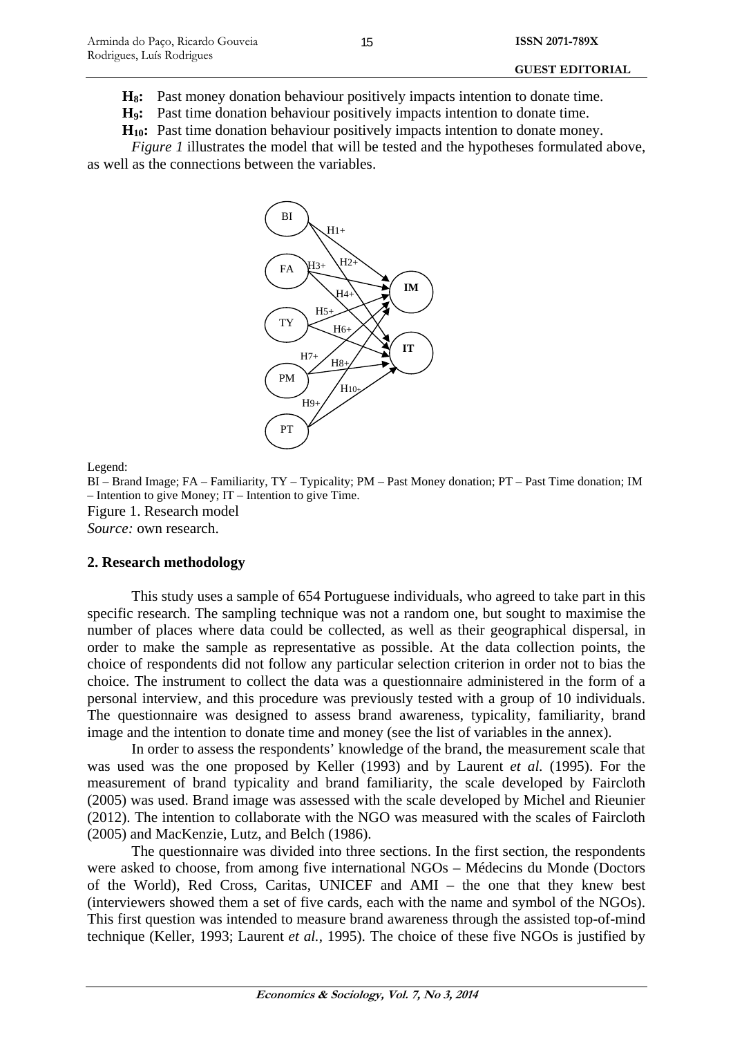H<sub>8</sub>: Past money donation behaviour positively impacts intention to donate time.

**H9:** Past time donation behaviour positively impacts intention to donate time.

**H10:** Past time donation behaviour positively impacts intention to donate money.

*Figure 1* illustrates the model that will be tested and the hypotheses formulated above, as well as the connections between the variables.



Legend:

BI – Brand Image; FA – Familiarity, TY – Typicality; PM – Past Money donation; PT – Past Time donation; IM – Intention to give Money; IT – Intention to give Time. Figure 1. Research model *Source:* own research.

### **2. Research methodology**

This study uses a sample of 654 Portuguese individuals, who agreed to take part in this specific research. The sampling technique was not a random one, but sought to maximise the number of places where data could be collected, as well as their geographical dispersal, in order to make the sample as representative as possible. At the data collection points, the choice of respondents did not follow any particular selection criterion in order not to bias the choice. The instrument to collect the data was a questionnaire administered in the form of a personal interview, and this procedure was previously tested with a group of 10 individuals. The questionnaire was designed to assess brand awareness, typicality, familiarity, brand image and the intention to donate time and money (see the list of variables in the annex).

In order to assess the respondents' knowledge of the brand, the measurement scale that was used was the one proposed by Keller (1993) and by Laurent *et al.* (1995). For the measurement of brand typicality and brand familiarity, the scale developed by Faircloth (2005) was used. Brand image was assessed with the scale developed by Michel and Rieunier (2012). The intention to collaborate with the NGO was measured with the scales of Faircloth (2005) and MacKenzie, Lutz, and Belch (1986).

The questionnaire was divided into three sections. In the first section, the respondents were asked to choose, from among five international NGOs – Médecins du Monde (Doctors of the World), Red Cross, Caritas, UNICEF and AMI – the one that they knew best (interviewers showed them a set of five cards, each with the name and symbol of the NGOs). This first question was intended to measure brand awareness through the assisted top-of-mind technique (Keller, 1993; Laurent *et al.*, 1995). The choice of these five NGOs is justified by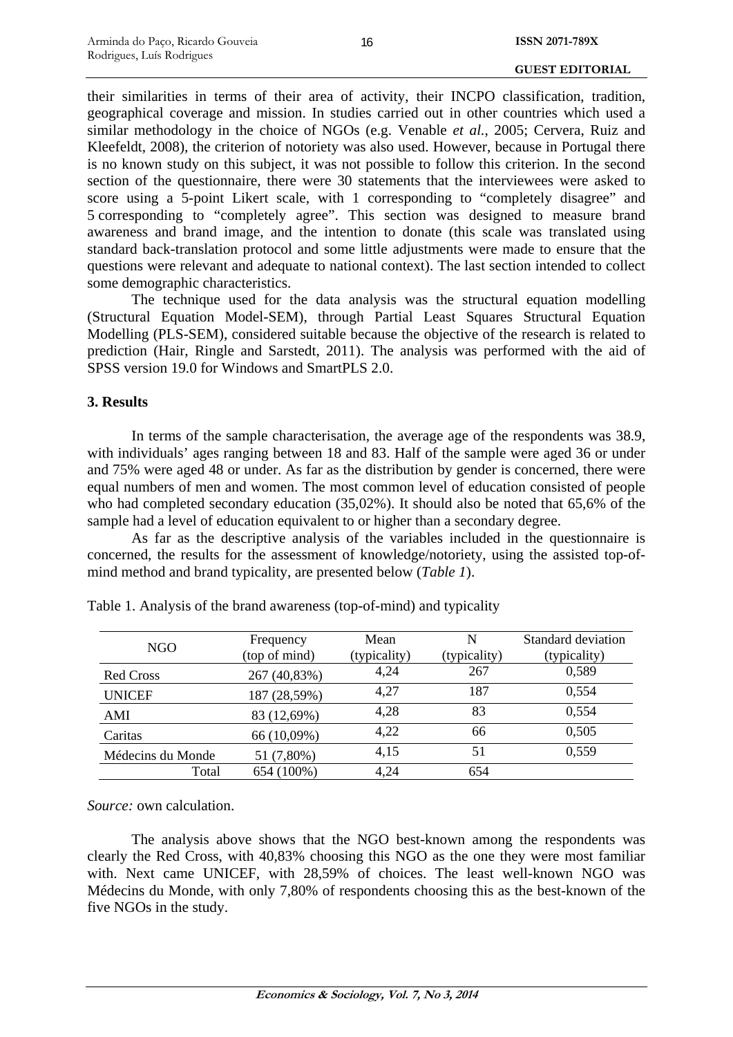their similarities in terms of their area of activity, their INCPO classification, tradition, geographical coverage and mission. In studies carried out in other countries which used a similar methodology in the choice of NGOs (e.g. Venable *et al.*, 2005; Cervera, Ruiz and Kleefeldt, 2008), the criterion of notoriety was also used. However, because in Portugal there is no known study on this subject, it was not possible to follow this criterion. In the second section of the questionnaire, there were 30 statements that the interviewees were asked to score using a 5-point Likert scale, with 1 corresponding to "completely disagree" and 5 corresponding to "completely agree". This section was designed to measure brand awareness and brand image, and the intention to donate (this scale was translated using standard back-translation protocol and some little adjustments were made to ensure that the questions were relevant and adequate to national context). The last section intended to collect some demographic characteristics.

The technique used for the data analysis was the structural equation modelling (Structural Equation Model-SEM), through Partial Least Squares Structural Equation Modelling (PLS-SEM), considered suitable because the objective of the research is related to prediction (Hair, Ringle and Sarstedt, 2011). The analysis was performed with the aid of SPSS version 19.0 for Windows and SmartPLS 2.0.

## **3. Results**

In terms of the sample characterisation, the average age of the respondents was 38.9, with individuals' ages ranging between 18 and 83. Half of the sample were aged 36 or under and 75% were aged 48 or under. As far as the distribution by gender is concerned, there were equal numbers of men and women. The most common level of education consisted of people who had completed secondary education (35,02%). It should also be noted that 65,6% of the sample had a level of education equivalent to or higher than a secondary degree.

As far as the descriptive analysis of the variables included in the questionnaire is concerned, the results for the assessment of knowledge/notoriety, using the assisted top-ofmind method and brand typicality, are presented below (*Table 1*).

| <b>NGO</b>        | Frequency<br>(top of mind) | Mean         | N<br>(typicality) | Standard deviation |
|-------------------|----------------------------|--------------|-------------------|--------------------|
|                   |                            | (typicality) |                   | (typicality)       |
| <b>Red Cross</b>  | 267 (40,83%)               | 4,24         | 267               | 0,589              |
| <b>UNICEF</b>     | 187 (28,59%)               | 4,27         | 187               | 0,554              |
| AMI               | 83 (12,69%)                | 4,28         | 83                | 0,554              |
| Caritas           | 66 (10,09%)                | 4,22         | 66                | 0,505              |
| Médecins du Monde | 51 (7,80%)                 | 4,15         | 51                | 0,559              |
| Total             | 654 (100%)                 | 4,24         | 654               |                    |

Table 1. Analysis of the brand awareness (top-of-mind) and typicality

*Source:* own calculation.

The analysis above shows that the NGO best-known among the respondents was clearly the Red Cross, with 40,83% choosing this NGO as the one they were most familiar with. Next came UNICEF, with 28,59% of choices. The least well-known NGO was Médecins du Monde, with only 7,80% of respondents choosing this as the best-known of the five NGOs in the study.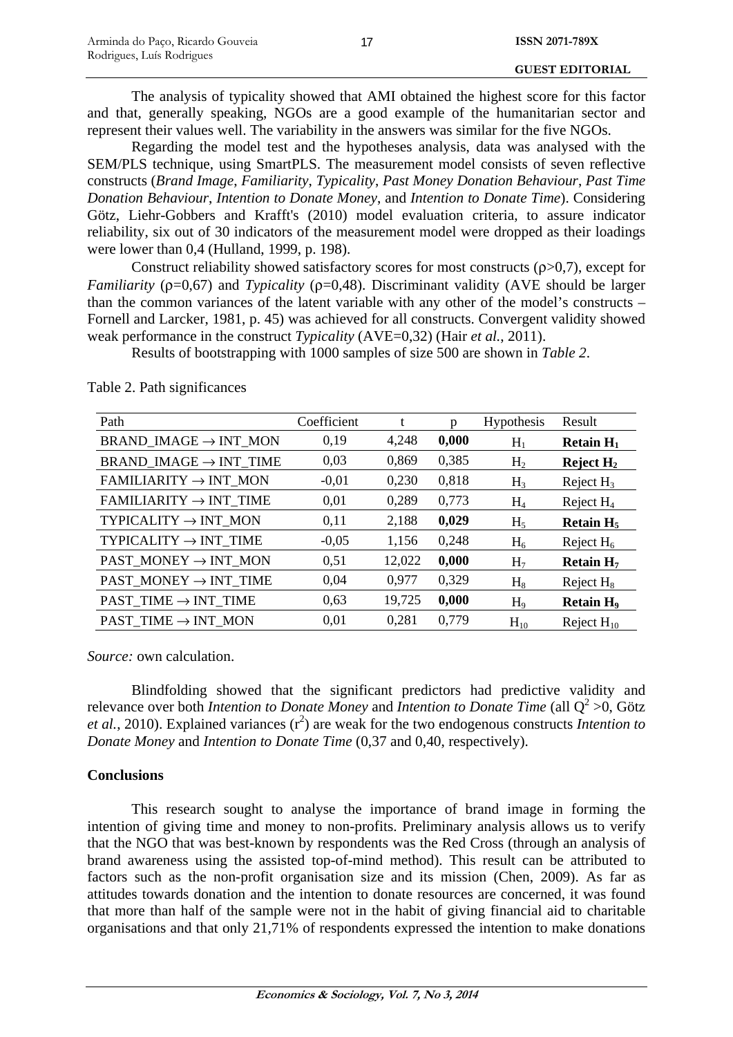The analysis of typicality showed that AMI obtained the highest score for this factor and that, generally speaking, NGOs are a good example of the humanitarian sector and represent their values well. The variability in the answers was similar for the five NGOs.

Regarding the model test and the hypotheses analysis, data was analysed with the SEM/PLS technique, using SmartPLS. The measurement model consists of seven reflective constructs (*Brand Image*, *Familiarity*, *Typicality*, *Past Money Donation Behaviour*, *Past Time Donation Behaviour*, *Intention to Donate Money*, and *Intention to Donate Time*). Considering Götz, Liehr-Gobbers and Krafft's (2010) model evaluation criteria, to assure indicator reliability, six out of 30 indicators of the measurement model were dropped as their loadings were lower than 0,4 (Hulland, 1999, p. 198).

Construct reliability showed satisfactory scores for most constructs  $(p>0,7)$ , except for *Familiarity* ( $ρ=0.67$ ) and *Typicality* ( $ρ=0.48$ ). Discriminant validity (AVE should be larger than the common variances of the latent variable with any other of the model's constructs – Fornell and Larcker, 1981, p. 45) was achieved for all constructs. Convergent validity showed weak performance in the construct *Typicality* (AVE=0,32) (Hair *et al.*, 2011).

Results of bootstrapping with 1000 samples of size 500 are shown in *Table 2*.

| Path                               | Coefficient | t      |       | Hypothesis     | Result                      |
|------------------------------------|-------------|--------|-------|----------------|-----------------------------|
| BRAND IMAGE $\rightarrow$ INT MON  | 0.19        | 4,248  | 0,000 | $H_1$          | Retain $H_1$                |
| BRAND IMAGE $\rightarrow$ INT TIME | 0,03        | 0,869  | 0,385 | H <sub>2</sub> | Reject $H_2$                |
| $FAMILIARITY \rightarrow INT$ MON  | $-0.01$     | 0,230  | 0,818 | H <sub>3</sub> | Reject $H_3$                |
| $FAMILIARITY \rightarrow INT$ TIME | 0,01        | 0,289  | 0,773 | $H_4$          | Reject $H_4$                |
| TYPICALITY $\rightarrow$ INT_MON   | 0,11        | 2,188  | 0,029 | $H_5$          | Retain $H_5$                |
| TYPICALITY $\rightarrow$ INT TIME  | $-0,05$     | 1,156  | 0,248 | $H_6$          | Reject $H_6$                |
| $PAST_MONEY \rightarrow INT_MON$   | 0,51        | 12,022 | 0,000 | H <sub>7</sub> | Retain $H7$                 |
| PAST MONEY $\rightarrow$ INT TIME  | 0,04        | 0,977  | 0,329 | $H_8$          | Reject $H_8$                |
| PAST TIME $\rightarrow$ INT TIME   | 0,63        | 19,725 | 0,000 | $H_9$          | <b>Retain H<sub>9</sub></b> |
| PAST TIME $\rightarrow$ INT MON    | 0,01        | 0.281  | 0,779 | $H_{10}$       | Reject $H_{10}$             |

Table 2. Path significances

*Source:* own calculation.

Blindfolding showed that the significant predictors had predictive validity and relevance over both *Intention to Donate Money* and *Intention to Donate Time* (all  $Q^2 > 0$ , Götz *et al.*, 2010). Explained variances  $(r^2)$  are weak for the two endogenous constructs *Intention to Donate Money* and *Intention to Donate Time* (0,37 and 0,40, respectively).

## **Conclusions**

This research sought to analyse the importance of brand image in forming the intention of giving time and money to non-profits. Preliminary analysis allows us to verify that the NGO that was best-known by respondents was the Red Cross (through an analysis of brand awareness using the assisted top-of-mind method). This result can be attributed to factors such as the non-profit organisation size and its mission (Chen, 2009). As far as attitudes towards donation and the intention to donate resources are concerned, it was found that more than half of the sample were not in the habit of giving financial aid to charitable organisations and that only 21,71% of respondents expressed the intention to make donations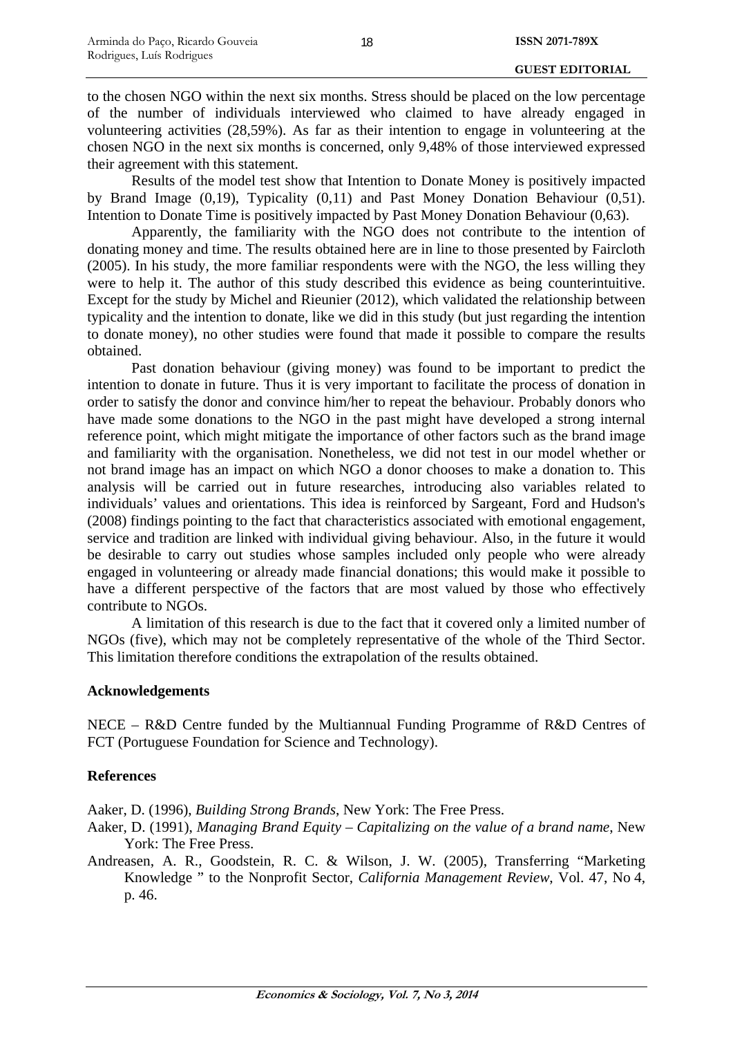to the chosen NGO within the next six months. Stress should be placed on the low percentage of the number of individuals interviewed who claimed to have already engaged in volunteering activities (28,59%). As far as their intention to engage in volunteering at the chosen NGO in the next six months is concerned, only 9,48% of those interviewed expressed their agreement with this statement.

Results of the model test show that Intention to Donate Money is positively impacted by Brand Image (0,19), Typicality (0,11) and Past Money Donation Behaviour (0,51). Intention to Donate Time is positively impacted by Past Money Donation Behaviour (0,63).

Apparently, the familiarity with the NGO does not contribute to the intention of donating money and time. The results obtained here are in line to those presented by Faircloth (2005). In his study, the more familiar respondents were with the NGO, the less willing they were to help it. The author of this study described this evidence as being counterintuitive. Except for the study by Michel and Rieunier (2012), which validated the relationship between typicality and the intention to donate, like we did in this study (but just regarding the intention to donate money), no other studies were found that made it possible to compare the results obtained.

Past donation behaviour (giving money) was found to be important to predict the intention to donate in future. Thus it is very important to facilitate the process of donation in order to satisfy the donor and convince him/her to repeat the behaviour. Probably donors who have made some donations to the NGO in the past might have developed a strong internal reference point, which might mitigate the importance of other factors such as the brand image and familiarity with the organisation. Nonetheless, we did not test in our model whether or not brand image has an impact on which NGO a donor chooses to make a donation to. This analysis will be carried out in future researches, introducing also variables related to individuals' values and orientations. This idea is reinforced by Sargeant, Ford and Hudson's (2008) findings pointing to the fact that characteristics associated with emotional engagement, service and tradition are linked with individual giving behaviour. Also, in the future it would be desirable to carry out studies whose samples included only people who were already engaged in volunteering or already made financial donations; this would make it possible to have a different perspective of the factors that are most valued by those who effectively contribute to NGOs.

A limitation of this research is due to the fact that it covered only a limited number of NGOs (five), which may not be completely representative of the whole of the Third Sector. This limitation therefore conditions the extrapolation of the results obtained.

## **Acknowledgements**

NECE – R&D Centre funded by the Multiannual Funding Programme of R&D Centres of FCT (Portuguese Foundation for Science and Technology).

## **References**

Aaker, D. (1996), *Building Strong Brands*, New York: The Free Press.

- Aaker, D. (1991), *Managing Brand Equity* – *Capitalizing on the value of a brand name*, New York: The Free Press.
- Andreasen, A. R., Goodstein, R. C. & Wilson, J. W. (2005), Transferring "Marketing Knowledge " to the Nonprofit Sector, *California Management Review*, Vol. 47, No 4, p. 46.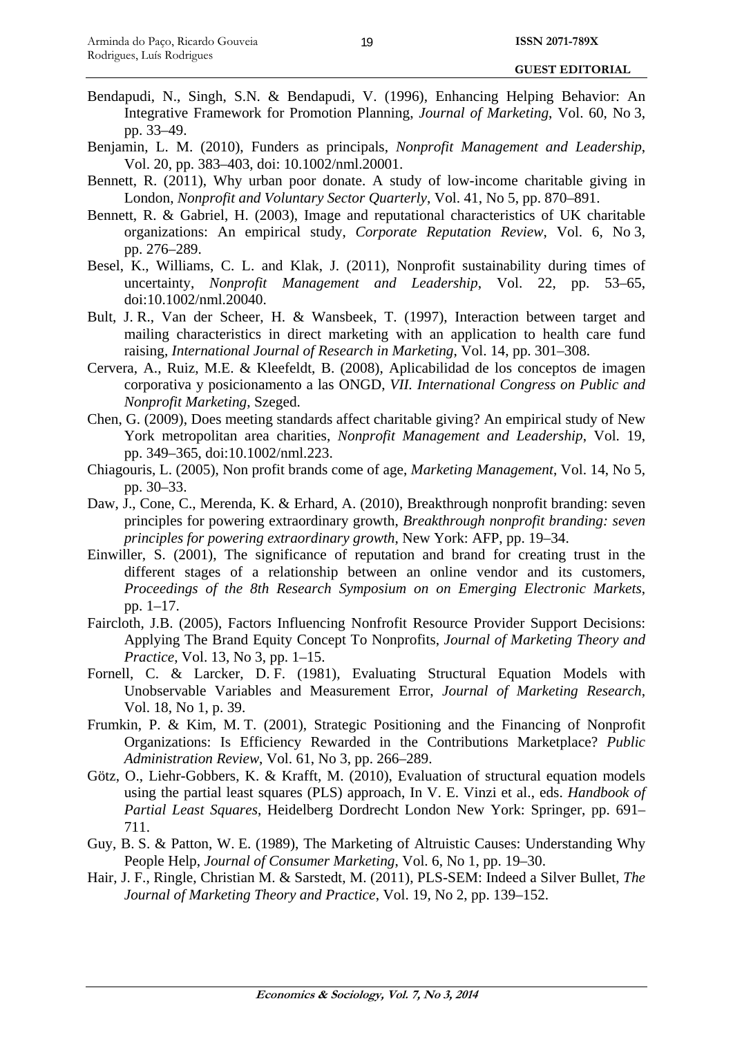#### **GUEST EDITORIAL**

- Bendapudi, N., Singh, S.N. & Bendapudi, V. (1996), Enhancing Helping Behavior: An Integrative Framework for Promotion Planning, *Journal of Marketing*, Vol. 60, No 3, pp. 33–49.
- Benjamin, L. M. (2010), Funders as principals, *Nonprofit Management and Leadership*, Vol. 20, pp. 383–403, doi: 10.1002/nml.20001.
- Bennett, R. (2011), Why urban poor donate. A study of low-income charitable giving in London, *Nonprofit and Voluntary Sector Quarterly*, Vol. 41, No 5, pp. 870–891.
- Bennett, R. & Gabriel, H. (2003), Image and reputational characteristics of UK charitable organizations: An empirical study, *Corporate Reputation Review*, Vol. 6, No 3, pp. 276–289.
- Besel, K., Williams, C. L. and Klak, J. (2011), Nonprofit sustainability during times of uncertainty, *Nonprofit Management and Leadership*, Vol. 22, pp. 53–65, doi:10.1002/nml.20040.
- Bult, J. R., Van der Scheer, H. & Wansbeek, T. (1997), Interaction between target and mailing characteristics in direct marketing with an application to health care fund raising, *International Journal of Research in Marketing*, Vol. 14, pp. 301–308.
- Cervera, A., Ruiz, M.E. & Kleefeldt, B. (2008), Aplicabilidad de los conceptos de imagen corporativa y posicionamento a las ONGD, *VII. International Congress on Public and Nonprofit Marketing*, Szeged.
- Chen, G. (2009), Does meeting standards affect charitable giving? An empirical study of New York metropolitan area charities, *Nonprofit Management and Leadership*, Vol. 19, pp. 349–365, doi:10.1002/nml.223.
- Chiagouris, L. (2005), Non profit brands come of age, *Marketing Management*, Vol. 14, No 5, pp. 30–33.
- Daw, J., Cone, C., Merenda, K. & Erhard, A. (2010), Breakthrough nonprofit branding: seven principles for powering extraordinary growth, *Breakthrough nonprofit branding: seven principles for powering extraordinary growth*, New York: AFP, pp. 19–34.
- Einwiller, S. (2001), The significance of reputation and brand for creating trust in the different stages of a relationship between an online vendor and its customers, *Proceedings of the 8th Research Symposium on on Emerging Electronic Markets*, pp. 1–17.
- Faircloth, J.B. (2005), Factors Influencing Nonfrofit Resource Provider Support Decisions: Applying The Brand Equity Concept To Nonprofits, *Journal of Marketing Theory and Practice*, Vol. 13, No 3, pp. 1–15.
- Fornell, C. & Larcker, D. F. (1981), Evaluating Structural Equation Models with Unobservable Variables and Measurement Error, *Journal of Marketing Research*, Vol. 18, No 1, p. 39.
- Frumkin, P. & Kim, M. T. (2001), Strategic Positioning and the Financing of Nonprofit Organizations: Is Efficiency Rewarded in the Contributions Marketplace? *Public Administration Review*, Vol. 61, No 3, pp. 266–289.
- Götz, O., Liehr-Gobbers, K. & Krafft, M. (2010), Evaluation of structural equation models using the partial least squares (PLS) approach, In V. E. Vinzi et al., eds. *Handbook of Partial Least Squares*, Heidelberg Dordrecht London New York: Springer, pp. 691– 711.
- Guy, B. S. & Patton, W. E. (1989), The Marketing of Altruistic Causes: Understanding Why People Help, *Journal of Consumer Marketing*, Vol. 6, No 1, pp. 19–30.
- Hair, J. F., Ringle, Christian M. & Sarstedt, M. (2011), PLS-SEM: Indeed a Silver Bullet, *The Journal of Marketing Theory and Practice*, Vol. 19, No 2, pp. 139–152.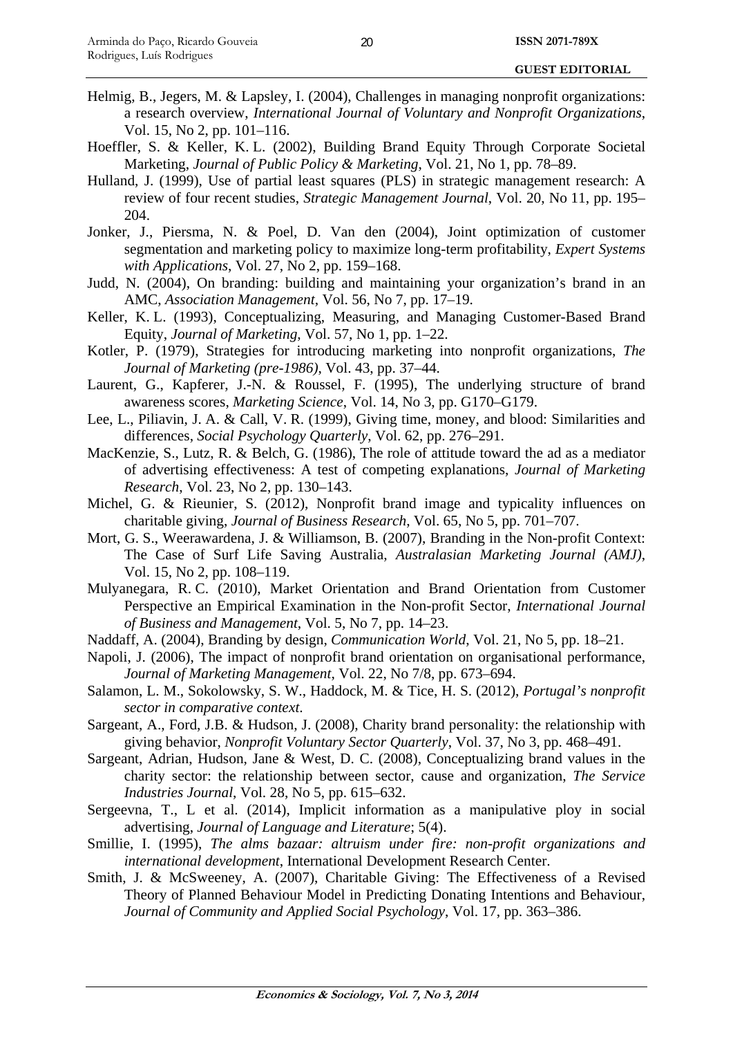- Helmig, B., Jegers, M. & Lapsley, I. (2004), Challenges in managing nonprofit organizations: a research overview, *International Journal of Voluntary and Nonprofit Organizations*, Vol. 15, No 2, pp. 101–116.
- Hoeffler, S. & Keller, K. L. (2002), Building Brand Equity Through Corporate Societal Marketing, *Journal of Public Policy & Marketing*, Vol. 21, No 1, pp. 78–89.
- Hulland, J. (1999), Use of partial least squares (PLS) in strategic management research: A review of four recent studies, *Strategic Management Journal*, Vol. 20, No 11, pp. 195– 204.
- Jonker, J., Piersma, N. & Poel, D. Van den (2004), Joint optimization of customer segmentation and marketing policy to maximize long-term profitability, *Expert Systems with Applications*, Vol. 27, No 2, pp. 159–168.
- Judd, N. (2004), On branding: building and maintaining your organization's brand in an AMC, *Association Management*, Vol. 56, No 7, pp. 17–19.
- Keller, K. L. (1993), Conceptualizing, Measuring, and Managing Customer-Based Brand Equity, *Journal of Marketing*, Vol. 57, No 1, pp. 1–22.
- Kotler, P. (1979), Strategies for introducing marketing into nonprofit organizations, *The Journal of Marketing (pre-1986)*, Vol. 43, pp. 37–44.
- Laurent, G., Kapferer, J.-N. & Roussel, F. (1995), The underlying structure of brand awareness scores, *Marketing Science*, Vol. 14, No 3, pp. G170–G179.
- Lee, L., Piliavin, J. A. & Call, V. R. (1999), Giving time, money, and blood: Similarities and differences, *Social Psychology Quarterly*, Vol. 62, pp. 276–291.
- MacKenzie, S., Lutz, R. & Belch, G. (1986), The role of attitude toward the ad as a mediator of advertising effectiveness: A test of competing explanations, *Journal of Marketing Research*, Vol. 23, No 2, pp. 130–143.
- Michel, G. & Rieunier, S. (2012), Nonprofit brand image and typicality influences on charitable giving, *Journal of Business Research*, Vol. 65, No 5, pp. 701–707.
- Mort, G. S., Weerawardena, J. & Williamson, B. (2007), Branding in the Non-profit Context: The Case of Surf Life Saving Australia, *Australasian Marketing Journal (AMJ)*, Vol. 15, No 2, pp. 108–119.
- Mulyanegara, R. C. (2010), Market Orientation and Brand Orientation from Customer Perspective an Empirical Examination in the Non-profit Sector, *International Journal of Business and Management*, Vol. 5, No 7, pp. 14–23.
- Naddaff, A. (2004), Branding by design, *Communication World*, Vol. 21, No 5, pp. 18–21.
- Napoli, J. (2006), The impact of nonprofit brand orientation on organisational performance, *Journal of Marketing Management*, Vol. 22, No 7/8, pp. 673–694.
- Salamon, L. M., Sokolowsky, S. W., Haddock, M. & Tice, H. S. (2012), *Portugal's nonprofit sector in comparative context*.
- Sargeant, A., Ford, J.B. & Hudson, J. (2008), Charity brand personality: the relationship with giving behavior, *Nonprofit Voluntary Sector Quarterly*, Vol. 37, No 3, pp. 468–491.
- Sargeant, Adrian, Hudson, Jane & West, D. C. (2008), Conceptualizing brand values in the charity sector: the relationship between sector, cause and organization, *The Service Industries Journal*, Vol. 28, No 5, pp. 615–632.
- Sergeevna, T., L et al. (2014), Implicit information as a manipulative ploy in social advertising, *Journal of Language and Literature*; 5(4).
- Smillie, I. (1995), *The alms bazaar: altruism under fire: non-profit organizations and international development*, International Development Research Center.
- Smith, J. & McSweeney, A. (2007), Charitable Giving: The Effectiveness of a Revised Theory of Planned Behaviour Model in Predicting Donating Intentions and Behaviour, *Journal of Community and Applied Social Psychology*, Vol. 17, pp. 363–386.